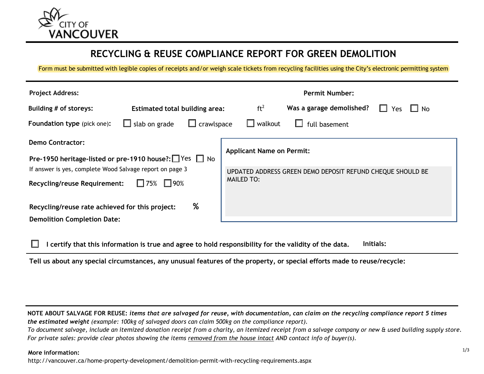

# **RECYCLING & REUSE COMPLIANCE REPORT FOR GREEN DEMOLITION**

Form must be submitted with legible copies of receipts and/or weigh scale tickets from recycling facilities using the City's electronic permitting system

| <b>Project Address:</b>                                  |                                       |                                                            | <b>Permit Number:</b>            |                          |                 |  |
|----------------------------------------------------------|---------------------------------------|------------------------------------------------------------|----------------------------------|--------------------------|-----------------|--|
| Building # of storeys:                                   | <b>Estimated total building area:</b> |                                                            | ft <sup>2</sup>                  | Was a garage demolished? | No.<br>H<br>Yes |  |
| <b>Foundation type</b> (pick one):                       | $\Box$ slab on grade                  | $\Box$ crawlspace                                          | $\Box$ walkout                   | full basement            |                 |  |
| <b>Demo Contractor:</b>                                  |                                       |                                                            |                                  |                          |                 |  |
| Pre-1950 heritage-listed or pre-1910 house?: Ves Ⅰ No    |                                       |                                                            | <b>Applicant Name on Permit:</b> |                          |                 |  |
| If answer is yes, complete Wood Salvage report on page 3 |                                       | UPDATED ADDRESS GREEN DEMO DEPOSIT REFUND CHEQUE SHOULD BE |                                  |                          |                 |  |
| <b>Recycling/reuse Requirement:</b>                      | $\Box$ 90%<br>$\Box$ 75%              |                                                            | <b>MAILED TO:</b>                |                          |                 |  |
| Recycling/reuse rate achieved for this project:          |                                       | %                                                          |                                  |                          |                 |  |
| <b>Demolition Completion Date:</b>                       |                                       |                                                            |                                  |                          |                 |  |

**I certify that this information is true and agree to hold responsibility for the validity of the data. Initials:**

Tell us about any special circumstances, any unusual features of the property, or special efforts made to reuse/recycle:

**NOTE ABOUT SALVAGE FOR REUSE:** *items that are salvaged for reuse, with documentation, can claim on the recycling compliance report 5 times the estimated weight (example: 100kg of salvaged doors can claim 500kg on the compliance report).* To document salvage, include an itemized donation receipt from a charity, an itemized receipt from a salvage company or new & used building supply store. *For private sales: provide clear photos showing the items removed from the house intact AND contact info of buyer(s).*

#### **More information:**

http://vancouver.ca/home-property-development/demolition-permit-with-recycling-requirements.aspx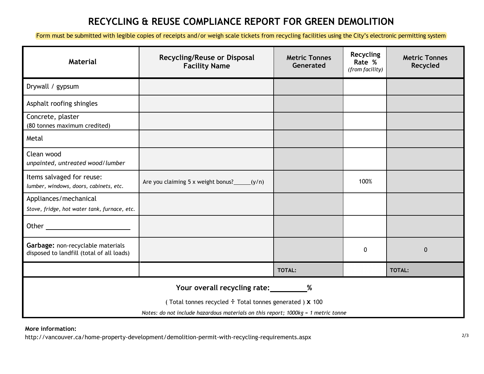# **RECYCLING & REUSE COMPLIANCE REPORT FOR GREEN DEMOLITION**

Form must be submitted with legible copies of receipts and/or weigh scale tickets from recycling facilities using the City's electronic permitting system

| <b>Material</b>                                                                                     | <b>Recycling/Reuse or Disposal</b><br><b>Facility Name</b> | <b>Metric Tonnes</b><br>Generated | <b>Recycling</b><br>Rate %<br>(from facility) | <b>Metric Tonnes</b><br>Recycled |  |  |
|-----------------------------------------------------------------------------------------------------|------------------------------------------------------------|-----------------------------------|-----------------------------------------------|----------------------------------|--|--|
| Drywall / gypsum                                                                                    |                                                            |                                   |                                               |                                  |  |  |
| Asphalt roofing shingles                                                                            |                                                            |                                   |                                               |                                  |  |  |
| Concrete, plaster<br>(80 tonnes maximum credited)                                                   |                                                            |                                   |                                               |                                  |  |  |
| Metal                                                                                               |                                                            |                                   |                                               |                                  |  |  |
| Clean wood<br>unpainted, untreated wood/lumber                                                      |                                                            |                                   |                                               |                                  |  |  |
| Items salvaged for reuse:<br>lumber, windows, doors, cabinets, etc.                                 | Are you claiming 5 x weight bonus? $(y/n)$                 |                                   | 100%                                          |                                  |  |  |
| Appliances/mechanical<br>Stove, fridge, hot water tank, furnace, etc.                               |                                                            |                                   |                                               |                                  |  |  |
|                                                                                                     |                                                            |                                   |                                               |                                  |  |  |
| Garbage: non-recyclable materials<br>disposed to landfill (total of all loads)                      |                                                            |                                   | 0                                             | $\mathbf 0$                      |  |  |
|                                                                                                     |                                                            | TOTAL:                            |                                               | TOTAL:                           |  |  |
| Your overall recycling rate: __________%<br>(Total tonnes recycled : Total tonnes generated ) X 100 |                                                            |                                   |                                               |                                  |  |  |
| Notes: do not include hazardous materials on this report; 1000kg = 1 metric tonne                   |                                                            |                                   |                                               |                                  |  |  |

**More information:** 

http://vancouver.ca/home-property-development/demolition-permit-with-recycling-requirements.aspx 2/3